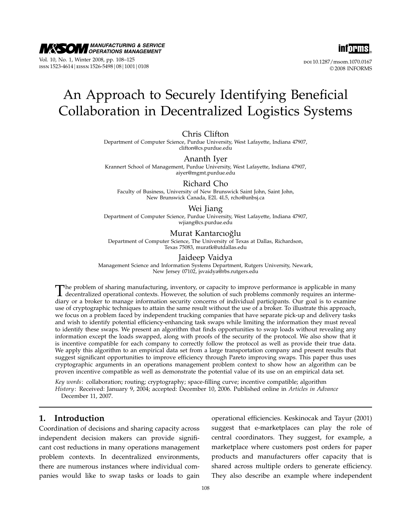

Vol. 10, No. 1, Winter 2008, pp. 108–125 issn1523-4614 eissn1526-5498 <sup>08</sup> <sup>1001</sup> <sup>0108</sup>

# An Approach to Securely Identifying Beneficial Collaboration in Decentralized Logistics Systems

Chris Clifton

Department of Computer Science, Purdue University, West Lafayette, Indiana 47907, clifton@cs.purdue.edu

Ananth Iyer Krannert School of Management, Purdue University, West Lafayette, Indiana 47907, aiyer@mgmt.purdue.edu

Richard Cho Faculty of Business, University of New Brunswick Saint John, Saint John, New Brunswick Canada, E2L 4L5, rcho@unbsj.ca

Wei Jiang Department of Computer Science, Purdue University, West Lafayette, Indiana 47907, wjiang@cs.purdue.edu

#### Murat Kantarcıoğlu

Department of Computer Science, The University of Texas at Dallas, Richardson, Texas 75083, muratk@utdallas.edu

## Jaideep Vaidya

Management Science and Information Systems Department, Rutgers University, Newark, New Jersey 07102, jsvaidya@rbs.rutgers.edu

The problem of sharing manufacturing, inventory, or capacity to improve performance is applicable in many<br>diary or a broker to manage information security concerns of individual participants. Our goal is to examine diary or a broker to manage information security concerns of individual participants. Our goal is to examine use of cryptographic techniques to attain the same result without the use of a broker. To illustrate this approach, we focus on a problem faced by independent trucking companies that have separate pick-up and delivery tasks and wish to identify potential efficiency-enhancing task swaps while limiting the information they must reveal to identify these swaps. We present an algorithm that finds opportunities to swap loads without revealing any information except the loads swapped, along with proofs of the security of the protocol. We also show that it is incentive compatible for each company to correctly follow the protocol as well as provide their true data. We apply this algorithm to an empirical data set from a large transportation company and present results that suggest significant opportunities to improve efficiency through Pareto improving swaps. This paper thus uses cryptographic arguments in an operations management problem context to show how an algorithm can be proven incentive compatible as well as demonstrate the potential value of its use on an empirical data set.

Key words: collaboration; routing; cryptography; space-filling curve; incentive compatible; algorithm History: Received: January 9, 2004; accepted: December 10, 2006. Published online in Articles in Advance December 11, 2007.

# 1. Introduction

Coordination of decisions and sharing capacity across independent decision makers can provide significant cost reductions in many operations management problem contexts. In decentralized environments, there are numerous instances where individual companies would like to swap tasks or loads to gain operational efficiencies. Keskinocak and Tayur (2001) suggest that e-marketplaces can play the role of central coordinators. They suggest, for example, a marketplace where customers post orders for paper products and manufacturers offer capacity that is shared across multiple orders to generate efficiency. They also describe an example where independent

inf<mark>orms</mark>。

doi 10.1287/msom.1070.0167 © 2008 INFORMS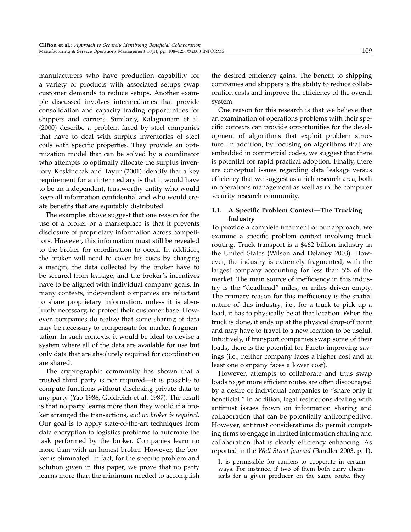manufacturers who have production capability for a variety of products with associated setups swap customer demands to reduce setups. Another example discussed involves intermediaries that provide consolidation and capacity trading opportunities for shippers and carriers. Similarly, Kalagnanam et al. (2000) describe a problem faced by steel companies that have to deal with surplus inventories of steel coils with specific properties. They provide an optimization model that can be solved by a coordinator who attempts to optimally allocate the surplus inventory. Keskinocak and Tayur (2001) identify that a key requirement for an intermediary is that it would have to be an independent, trustworthy entity who would keep all information confidential and who would create benefits that are equitably distributed.

The examples above suggest that one reason for the use of a broker or a marketplace is that it prevents disclosure of proprietary information across competitors. However, this information must still be revealed to the broker for coordination to occur. In addition, the broker will need to cover his costs by charging a margin, the data collected by the broker have to be secured from leakage, and the broker's incentives have to be aligned with individual company goals. In many contexts, independent companies are reluctant to share proprietary information, unless it is absolutely necessary, to protect their customer base. However, companies do realize that some sharing of data may be necessary to compensate for market fragmentation. In such contexts, it would be ideal to devise a system where all of the data are available for use but only data that are absolutely required for coordination are shared.

The cryptographic community has shown that a trusted third party is not required—it is possible to compute functions without disclosing private data to any party (Yao 1986, Goldreich et al. 1987). The result is that no party learns more than they would if a broker arranged the transactions, and no broker is required. Our goal is to apply state-of-the-art techniques from data encryption to logistics problems to automate the task performed by the broker. Companies learn no more than with an honest broker. However, the broker is eliminated. In fact, for the specific problem and solution given in this paper, we prove that no party learns more than the minimum needed to accomplish

the desired efficiency gains. The benefit to shipping companies and shippers is the ability to reduce collaboration costs and improve the efficiency of the overall system.

One reason for this research is that we believe that an examination of operations problems with their specific contexts can provide opportunities for the development of algorithms that exploit problem structure. In addition, by focusing on algorithms that are embedded in commercial codes, we suggest that there is potential for rapid practical adoption. Finally, there are conceptual issues regarding data leakage versus efficiency that we suggest as a rich research area, both in operations management as well as in the computer security research community.

# 1.1. A Specific Problem Context—The Trucking Industry

To provide a complete treatment of our approach, we examine a specific problem context involving truck routing. Truck transport is a \$462 billion industry in the United States (Wilson and Delaney 2003). However, the industry is extremely fragmented, with the largest company accounting for less than 5% of the market. The main source of inefficiency in this industry is the "deadhead" miles, or miles driven empty. The primary reason for this inefficiency is the spatial nature of this industry; i.e., for a truck to pick up a load, it has to physically be at that location. When the truck is done, it ends up at the physical drop-off point and may have to travel to a new location to be useful. Intuitively, if transport companies swap some of their loads, there is the potential for Pareto improving savings (i.e., neither company faces a higher cost and at least one company faces a lower cost).

However, attempts to collaborate and thus swap loads to get more efficient routes are often discouraged by a desire of individual companies to "share only if beneficial." In addition, legal restrictions dealing with antitrust issues frown on information sharing and collaboration that can be potentially anticompetitive. However, antitrust considerations do permit competing firms to engage in limited information sharing and collaboration that is clearly efficiency enhancing. As reported in the Wall Street Journal (Bandler 2003, p. 1),

It is permissible for carriers to cooperate in certain ways. For instance, if two of them both carry chemicals for a given producer on the same route, they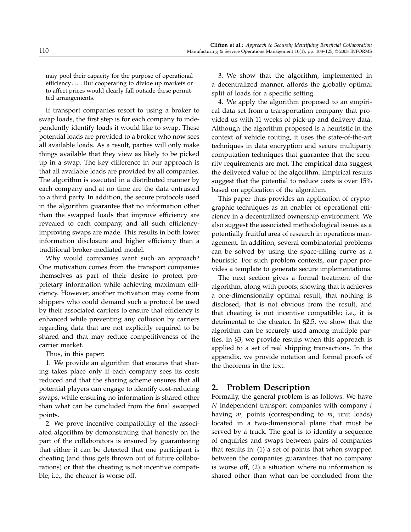may pool their capacity for the purpose of operational efficiency  $\dots$  But cooperating to divide up markets or to affect prices would clearly fall outside these permitted arrangements.

If transport companies resort to using a broker to swap loads, the first step is for each company to independently identify loads it would like to swap. These potential loads are provided to a broker who now sees all available loads. As a result, parties will only make things available that they view as likely to be picked up in a swap. The key difference in our approach is that all available loads are provided by all companies. The algorithm is executed in a distributed manner by each company and at no time are the data entrusted to a third party. In addition, the secure protocols used in the algorithm guarantee that no information other than the swapped loads that improve efficiency are revealed to each company, and all such efficiencyimproving swaps are made. This results in both lower information disclosure and higher efficiency than a traditional broker-mediated model.

Why would companies want such an approach? One motivation comes from the transport companies themselves as part of their desire to protect proprietary information while achieving maximum efficiency. However, another motivation may come from shippers who could demand such a protocol be used by their associated carriers to ensure that efficiency is enhanced while preventing any collusion by carriers regarding data that are not explicitly required to be shared and that may reduce competitiveness of the carrier market.

Thus, in this paper:

1. We provide an algorithm that ensures that sharing takes place only if each company sees its costs reduced and that the sharing scheme ensures that all potential players can engage to identify cost-reducing swaps, while ensuring no information is shared other than what can be concluded from the final swapped points.

2. We prove incentive compatibility of the associated algorithm by demonstrating that honesty on the part of the collaborators is ensured by guaranteeing that either it can be detected that one participant is cheating (and thus gets thrown out of future collaborations) or that the cheating is not incentive compatible; i.e., the cheater is worse off.

3. We show that the algorithm, implemented in a decentralized manner, affords the globally optimal split of loads for a specific setting.

4. We apply the algorithm proposed to an empirical data set from a transportation company that provided us with 11 weeks of pick-up and delivery data. Although the algorithm proposed is a heuristic in the context of vehicle routing, it uses the state-of-the-art techniques in data encryption and secure multiparty computation techniques that guarantee that the security requirements are met. The empirical data suggest the delivered value of the algorithm. Empirical results suggest that the potential to reduce costs is over 15% based on application of the algorithm.

This paper thus provides an application of cryptographic techniques as an enabler of operational efficiency in a decentralized ownership environment. We also suggest the associated methodological issues as a potentially fruitful area of research in operations management. In addition, several combinatorial problems can be solved by using the space-filling curve as a heuristic. For such problem contexts, our paper provides a template to generate secure implementations.

The next section gives a formal treatment of the algorithm, along with proofs, showing that it achieves a one-dimensionally optimal result, that nothing is disclosed, that is not obvious from the result, and that cheating is not incentive compatible; i.e., it is detrimental to the cheater. In §2.5, we show that the algorithm can be securely used among multiple parties. In §3, we provide results when this approach is applied to a set of real shipping transactions. In the appendix, we provide notation and formal proofs of the theorems in the text.

# 2. Problem Description

Formally, the general problem is as follows. We have  $N$  independent transport companies with company  $i$ having  $m_i$  points (corresponding to  $m_i$  unit loads) located in a two-dimensional plane that must be served by a truck. The goal is to identify a sequence of enquiries and swaps between pairs of companies that results in: (1) a set of points that when swapped between the companies guarantees that no company is worse off, (2) a situation where no information is shared other than what can be concluded from the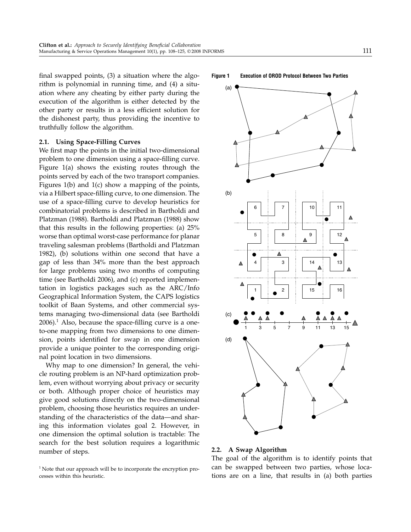final swapped points, (3) a situation where the algorithm is polynomial in running time, and (4) a situation where any cheating by either party during the execution of the algorithm is either detected by the other party or results in a less efficient solution for the dishonest party, thus providing the incentive to truthfully follow the algorithm.

#### 2.1. Using Space-Filling Curves

We first map the points in the initial two-dimensional problem to one dimension using a space-filling curve. Figure 1(a) shows the existing routes through the points served by each of the two transport companies. Figures 1(b) and 1(c) show a mapping of the points, via a Hilbert space-filling curve, to one dimension. The use of a space-filling curve to develop heuristics for combinatorial problems is described in Bartholdi and Platzman (1988). Bartholdi and Platzman (1988) show that this results in the following properties: (a) 25% worse than optimal worst-case performance for planar traveling salesman problems (Bartholdi and Platzman 1982), (b) solutions within one second that have a gap of less than 34% more than the best approach for large problems using two months of computing time (see Bartholdi 2006), and (c) reported implementation in logistics packages such as the ARC/Info Geographical Information System, the CAPS logistics toolkit of Baan Systems, and other commercial systems managing two-dimensional data (see Bartholdi  $2006$ ).<sup>1</sup> Also, because the space-filling curve is a oneto-one mapping from two dimensions to one dimension, points identified for swap in one dimension provide a unique pointer to the corresponding original point location in two dimensions.

Why map to one dimension? In general, the vehicle routing problem is an NP-hard optimization problem, even without worrying about privacy or security or both. Although proper choice of heuristics may give good solutions directly on the two-dimensional problem, choosing those heuristics requires an understanding of the characteristics of the data—and sharing this information violates goal 2. However, in one dimension the optimal solution is tractable: The search for the best solution requires a logarithmic number of steps.





#### 2.2. A Swap Algorithm

The goal of the algorithm is to identify points that can be swapped between two parties, whose locations are on a line, that results in (a) both parties

 $1$  Note that our approach will be to incorporate the encryption processes within this heuristic.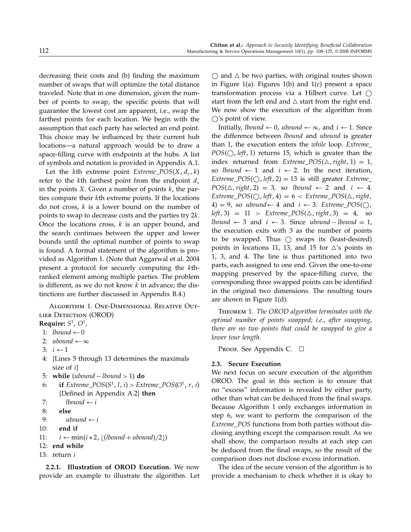decreasing their costs and (b) finding the maximum number of swaps that will optimize the total distance traveled. Note that in one dimension, given the number of points to swap, the specific points that will guarantee the lowest cost are apparent, i.e., swap the farthest points for each location. We begin with the assumption that each party has selected an end point. This choice may be influenced by their current hub locations—a natural approach would be to draw a space-filling curve with endpoints at the hubs. A list of symbols and notation is provided in Appendix A.1.

Let the kth extreme point  $Extreme_POS(X, d_x, k)$ refer to the kth farthest point from the endpoint  $d_x$ in the points  $X$ . Given a number of points  $k$ , the parties compare their kth extreme points. If the locations do not cross,  $k$  is a lower bound on the number of points to swap to decrease costs and the parties try 2k. Once the locations cross,  $k$  is an upper bound, and the search continues between the upper and lower bounds until the optimal number of points to swap is found. A formal statement of the algorithm is provided as Algorithm 1. (Note that Aggarwal et al. 2004 present a protocol for securely computing the kthranked element among multiple parties. The problem is different, as we do not know  $k$  in advance; the distinctions are further discussed in Appendix B.4.)

Algorithm 1. One-Dimensional Relative Out-LIER DETECTION (OROD)

- Require:  $S^1$ ,  $O^1$ ,
- 1: *lbound*  $\leftarrow$  0
- 2: ubound  $\leftarrow \infty$
- 3:  $i \leftarrow 1$
- 4: {Lines 5 through 13 determines the maximals size of  $i$
- 5: while (ubound − lbound > 1) do
- 6: if  $Extreme\_POS(S^1, l, i) > Extreme\_POS(O^1, r, i)$ {Defined in Appendix A.2} then
- 7: *lbound* ← *i* 8: **else**
- else

```
9: ubound \leftarrow i<br>10: end if
```
- end if
- 11:  $i \leftarrow min(i * 2, |(Ibound + $i$$
- 12: end while
- 13: return i

2.2.1. Illustration of OROD Execution. We now provide an example to illustrate the algorithm. Let

 $\bigcirc$  and  $\Delta$  be two parties, with original routes shown in Figure 1(a). Figures 1(b) and 1(c) present a space transformation process via a Hilbert curve. Let start from the left end and  $\Delta$  start from the right end. We now show the execution of the algorithm from  $\bigcirc$ 's point of view.

Initially, *lbound*  $\leftarrow 0$ , *ubound*  $\leftarrow \infty$ , and *i*  $\leftarrow$  1. Since the difference between lbound and ubound is greater than 1, the execution enters the while loop. Extreme\_  $POS( \bigcirc$ , left, 1) returns 15, which is greater than the index returned from  $Extreme\_POS(\triangle, right, 1) = 1$ , so *lbound*  $\leftarrow$  1 and  $i \leftarrow$  2. In the next iteration,  $Extreme\_POS( \bigcirc$ , left, 2) = 13 is still greater Extreme\_  $POS(\triangle, right, 2) = 3$ , so *lbound*  $\leftarrow 2$  and  $i \leftarrow 4$ .  $Extreme\_POS( \bigcirc$ , left,  $4) = 6 < Extreme\_POS(\bigtriangleup$ , right, 4) = 9, so ubound  $\leftarrow$  4 and  $i \leftarrow$  3. Extreme\_POS( $\bigcirc$ ,  $left(3) = 11$  > Extreme\_POS( $\triangle$ , right, 3) = 4, so *lbound*  $\leftarrow$  3 and *i*  $\leftarrow$  3. Since *ubound* − *lbound* = 1, the execution exits with 3 as the number of points to be swapped. Thus  $\bigcirc$  swaps its (least-desired) points in locations 11, 13, and 15 for  $\Delta$ 's points in 1, 3, and 4. The line is thus partitioned into two parts, each assigned to one end. Given the one-to-one mapping preserved by the space-filling curve, the corresponding three swapped points can be identified in the original two dimensions. The resulting tours are shown in Figure 1(d).

Theorem 1. The OROD algorithm terminates with the optimal number of points swapped; i.e., after swapping, there are no two points that could be swapped to give a lower tour length.

Proof. See Appendix C. □

## 2.3. Secure Execution

We next focus on secure execution of the algorithm OROD. The goal in this section is to ensure that no "excess" information is revealed by either party, other than what can be deduced from the final swaps. Because Algorithm 1 only exchanges information in step 6, we want to perform the comparison of the Extreme\_POS functions from both parties without disclosing anything except the comparison result. As we shall show, the comparison results at each step can be deduced from the final swaps, so the result of the comparison does not disclose excess information.

The idea of the secure version of the algorithm is to provide a mechanism to check whether it is okay to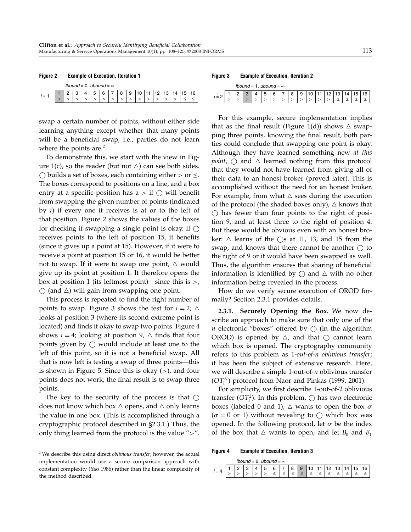

swap a certain number of points, without either side learning anything except whether that many points will be a beneficial swap; i.e., parties do not learn where the points are.<sup>2</sup>

To demonstrate this, we start with the view in Figure  $1(c)$ , so the reader (but not  $\triangle$ ) can see both sides.  $\bigcirc$  builds a set of boxes, each containing either  $>$  or  $\leq$ . The boxes correspond to positions on a line, and a box entry at a specific position has  $a >$  if  $\bigcirc$  will benefit from swapping the given number of points (indicated by i) if every one it receives is at or to the left of that position. Figure 2 shows the values of the boxes for checking if swapping a single point is okay. If  $\bigcirc$ receives points to the left of position 15, it benefits (since it gives up a point at 15). However, if it were to receive a point at position 15 or 16, it would be better not to swap. If it were to swap one point,  $\Delta$  would give up its point at position 1. It therefore opens the box at position 1 (its leftmost point)—since this is >,  $\bigcirc$  (and  $\Delta$ ) will gain from swapping one point.

This process is repeated to find the right number of points to swap. Figure 3 shows the test for  $i = 2$ ;  $\triangle$ looks at position 3 (where its second extreme point is located) and finds it okay to swap two points. Figure 4 shows  $i = 4$ ; looking at position 9,  $\triangle$  finds that four points given by  $\bigcirc$  would include at least one to the left of this point, so it is not a beneficial swap. All that is now left is testing a swap of three points—this is shown in Figure 5. Since this is okay (>), and four points does not work, the final result is to swap three points.

The key to the security of the process is that  $\bigcirc$ does not know which box  $\Delta$  opens, and  $\Delta$  only learns the value in one box. (This is accomplished through a cryptographic protocol described in §2.3.1.) Thus, the only thing learned from the protocol is the value ">".

Figure 3 Example of Execution, Iteration 2

|         | $Ibound = 1$ , $ubound = \infty$ |  |  |  |  |  |  |       |  |  |  |  |    |  |    |    |
|---------|----------------------------------|--|--|--|--|--|--|-------|--|--|--|--|----|--|----|----|
| $i = 2$ |                                  |  |  |  |  |  |  | 56789 |  |  |  |  | 13 |  | 15 | 16 |
|         |                                  |  |  |  |  |  |  |       |  |  |  |  |    |  |    |    |

For this example, secure implementation implies that as the final result (Figure 1(d)) shows  $\Delta$  swapping three points, knowing the final result, both parties could conclude that swapping one point is okay. Although they have learned something new at this *point,*  $\bigcirc$  and  $\bigtriangleup$  learned nothing from this protocol that they would not have learned from giving all of their data to an honest broker (proved later). This is accomplished without the need for an honest broker. For example, from what  $\Delta$  sees during the execution of the protocol (the shaded boxes only),  $\Delta$  knows that  $\bigcirc$  has fewer than four points to the right of position 9, and at least three to the right of position 4. But these would be obvious even with an honest broker:  $\triangle$  learns of the  $\bigcirc$ s at 11, 13, and 15 from the swap, and knows that there cannot be another  $\bigcirc$  to the right of 9 or it would have been swapped as well. Thus, the algorithm ensures that sharing of beneficial information is identified by  $\bigcirc$  and  $\vartriangle$  with no other information being revealed in the process.

How do we verify secure execution of OROD formally? Section 2.3.1 provides details.

2.3.1. Securely Opening the Box. We now describe an approach to make sure that only one of the *n* electronic "boxes" offered by  $\bigcirc$  (in the algorithm OROD) is opened by  $\Delta$ , and that  $\bigcirc$  cannot learn which box is opened. The cryptography community refers to this problem as 1-out-of-n oblivious transfer; it has been the subject of extensive research. Here, we will describe a simple 1-out-of- $n$  oblivious transfer  $(OT<sub>1</sub><sup>N</sup>)$  protocol from Naor and Pinkas (1999, 2001).

For simplicity, we first describe 1-out-of-2 oblivious transfer  $(OT<sub>1</sub><sup>2</sup>)$ . In this problem,  $\bigcirc$  has two electronic boxes (labeled 0 and 1);  $\triangle$  wants to open the box  $\sigma$  $(\sigma = 0 \text{ or } 1)$  without revealing to  $\bigcirc$  which box was opened. In the following protocol, let  $\sigma$  be the index of the box that  $\triangle$  wants to open, and let  $B_0$  and  $B_1$ 

Figure 4 Example of Execution, Iteration 3

|       | $Ibound = 2$ , $ubound = \infty$ |  |  |  |   |   |                |   |   |  |   |     |  |  |  |    |
|-------|----------------------------------|--|--|--|---|---|----------------|---|---|--|---|-----|--|--|--|----|
| $= 4$ |                                  |  |  |  | 片 | 6 | $\overline{ }$ | 8 | 9 |  | ∸ | ے ا |  |  |  | 16 |

<sup>&</sup>lt;sup>2</sup> We describe this using direct *oblivious transfer*; however, the actual implementation would use a secure comparison approach with constant complexity (Yao 1986) rather than the linear complexity of the method described.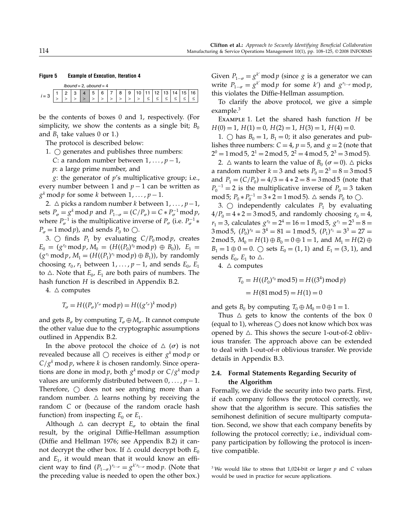|         | $Ibound = 2$ , $ubound = 4$ |  |  |  |   |   |  |   |   |  |  |  |  |  |  |    |
|---------|-----------------------------|--|--|--|---|---|--|---|---|--|--|--|--|--|--|----|
| $i = 3$ |                             |  |  |  | 5 | 6 |  | 8 | 9 |  |  |  |  |  |  | 16 |
|         |                             |  |  |  |   |   |  |   |   |  |  |  |  |  |  |    |
|         |                             |  |  |  |   |   |  |   |   |  |  |  |  |  |  |    |

be the contents of boxes 0 and 1, respectively. (For simplicity, we show the contents as a single bit;  $B_0$ and  $B_1$  take values 0 or 1.)

The protocol is described below:

Figure 5 Example of Execution, Iteration 4

1.  $\bigcirc$  generates and publishes three numbers:

C: a random number between  $1, \ldots, p-1$ ,

p: a large prime number, and

g: the generator of  $p$ 's multiplicative group; i.e., every number between 1 and  $p-1$  can be written as  $g<sup>k</sup>$  mod *p* for some *k* between 1, ..., *p* − 1.

2. ∆ picks a random number *k* between 1, ..., *p* − 1, sets  $P_{\sigma} = g^k \mod p$  and  $P_{1-\sigma} = (C/P_{\sigma}) = C * P_{\sigma}^{-1} \mod p$ , where  $P_{\sigma}^{-1}$  is the multiplicative inverse of  $P_{\sigma}$  (i.e.  $P_{\sigma}^{-1}$  \*  $P_{\sigma} = 1 \mod p$ , and sends  $P_0$  to  $\bigcirc$ .

3.  $\bigcirc$  finds  $P_1$  by evaluating  $C/P_0 \text{ mod } p$ , creates  $E_0 = (g^{r_0} \mod p, M_0 = (H((P_0)^{r_0} \mod p) \oplus B_0)), E_1 =$  $(g^{r_1} \mod p, M_1 = (H((P_1)^{r_1} \mod p) \oplus B_1))$ , by randomly choosing  $r_0$ ,  $r_1$  between  $1, \ldots, p-1$ , and sends  $E_0$ ,  $E_1$ to  $\triangle$ . Note that  $E_0$ ,  $E_1$  are both pairs of numbers. The hash function *H* is described in Appendix B.2.

4. computes

$$
T_{\sigma} = H((P_{\sigma})^{r_{\sigma}} \mod p) = H((g^{r_{\sigma}})^k \mod p)
$$

and gets  $B_{\sigma}$  by computing  $T_{\sigma} \oplus M_{\sigma}$ . It cannot compute the other value due to the cryptographic assumptions outlined in Appendix B.2.

In the above protocol the choice of  $\Delta(\sigma)$  is not revealed because all  $\bigcirc$  receives is either  $g^k \mod p$  or  $C/g<sup>k</sup>$  mod  $p$ , where k is chosen randomly. Since operations are done in mod p, both  $g^k$  mod p or  $C/g^k$  mod p values are uniformly distributed between  $0, \ldots, p-1$ . Therefore,  $\bigcirc$  does not see anything more than a random number.  $\Delta$  learns nothing by receiving the random C or (because of the random oracle hash function) from inspecting  $E_0$  or  $E_1$ .

Although  $\triangle$  can decrypt  $E_{\sigma}$  to obtain the final result, by the original Diffie-Hellman assumption (Diffie and Hellman 1976; see Appendix B.2) it cannot decrypt the other box. If  $\triangle$  could decrypt both  $E_0$ and  $E_1$ , it would mean that it would know an efficient way to find  $(P_{1-\sigma})^{r_{1-\sigma}} = g^{k^{\prime}r_{1-\sigma}} \mod p$ . (Note that the preceding value is needed to open the other box.)

Given  $P_{1-\sigma} = g^k \mod p$  (since g is a generator we can write  $P_{1-\sigma} = g^{k'} \mod p$  for some  $k'$ ) and  $g^{r_{1-\sigma}} \mod p$ , this violates the Diffie-Hellman assumption.

To clarify the above protocol, we give a simple example.<sup>3</sup>

Example 1. Let the shared hash function H be  $H(0) = 1$ ,  $H(1) = 0$ ,  $H(2) = 1$ ,  $H(3) = 1$ ,  $H(4) = 0$ .

1.  $\bigcirc$  has  $B_0 = 1$ ,  $B_1 = 0$ ; it also generates and publishes three numbers:  $C = 4$ ,  $p = 5$ , and  $g = 2$  (note that  $2^{0} = 1 \mod 5$ ,  $2^{1} = 2 \mod 5$ ,  $2^{2} = 4 \mod 5$ ,  $2^{3} = 3 \mod 5$ ).

2.  $\triangle$  wants to learn the value of  $B_0$  ( $\sigma = 0$ ).  $\triangle$  picks a random number  $k = 3$  and sets  $P_0 = 2^3 = 8 = 3 \text{ mod } 5$ and  $P_1 = (C/P_0) = 4/3 = 4 * 2 = 8 = 3 \text{ mod } 5$  (note that  $P_0^{-1} = 2$  is the multiplicative inverse of  $P_0 = 3$  taken mod 5;  $P_0 * P_0^{-1} = 3 * 2 = 1 \text{ mod } 5$ ).  $\triangle$  sends  $P_0$  to  $\bigcirc$ .

3.  $\bigcirc$  independently calculates  $P_1$  by evaluating  $4/P_0 = 4 * 2 = 3 \mod 5$ , and randomly choosing  $r_0 = 4$ ,  $r_1 = 3$ , calculates  $g^{r_0} = 2^4 = 16 = 1 \text{ mod } 5$ ,  $g^{r_1} = 2^3 = 8 = 1$  $3 \mod 5$ ,  $(P_0)^{r_0} = 3^4 = 81 = 1 \mod 5$ ,  $(P_1)^{r_1} = 3^3 = 27 = 5$ 2 mod 5,  $M_0 = H(1) \oplus B_0 = 0 \oplus 1 = 1$ , and  $M_1 = H(2) \oplus$  $B_1 = 1 \oplus 0 = 0.$   $\bigcirc$  sets  $E_0 = (1, 1)$  and  $E_1 = (3, 1)$ , and sends  $E_0$ ,  $E_1$  to  $\triangle$ .

4. computes

$$
T_0 = H((P_0)^{r_0} \mod 5) = H((3^4) \mod p)
$$
  
= H(81 mod 5) = H(1) = 0

and gets  $B_0$  by computing  $T_0 \oplus M_0 = 0 \oplus 1 = 1$ .

Thus  $\triangle$  gets to know the contents of the box 0 (equal to 1), whereas  $\bigcirc$  does not know which box was opened by  $\Delta$ . This shows the secure 1-out-of-2 oblivious transfer. The approach above can be extended to deal with 1-out-of-n oblivious transfer. We provide details in Appendix B.3.

# 2.4. Formal Statements Regarding Security of the Algorithm

Formally, we divide the security into two parts. First, if each company follows the protocol correctly, we show that the algorithm is secure. This satisfies the semihonest definition of secure multiparty computation. Second, we show that each company benefits by following the protocol correctly; i.e., individual company participation by following the protocol is incentive compatible.

<sup>&</sup>lt;sup>3</sup> We would like to stress that 1,024-bit or larger  $p$  and C values would be used in practice for secure applications.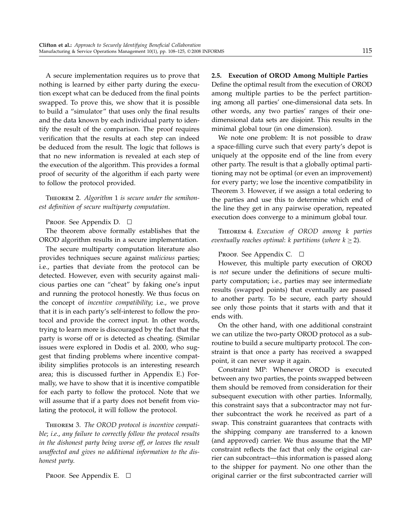A secure implementation requires us to prove that nothing is learned by either party during the execution except what can be deduced from the final points swapped. To prove this, we show that it is possible to build a "simulator" that uses only the final results and the data known by each individual party to identify the result of the comparison. The proof requires verification that the results at each step can indeed be deduced from the result. The logic that follows is that no new information is revealed at each step of the execution of the algorithm. This provides a formal proof of security of the algorithm if each party were to follow the protocol provided.

# THEOREM 2. Algorithm 1 is secure under the semihonest definition of secure multiparty computation.

## PROOF. See Appendix D.  $\square$

The theorem above formally establishes that the OROD algorithm results in a secure implementation.

The secure multiparty computation literature also provides techniques secure against malicious parties; i.e., parties that deviate from the protocol can be detected. However, even with security against malicious parties one can "cheat" by faking one's input and running the protocol honestly. We thus focus on the concept of incentive compatibility; i.e., we prove that it is in each party's self-interest to follow the protocol and provide the correct input. In other words, trying to learn more is discouraged by the fact that the party is worse off or is detected as cheating. (Similar issues were explored in Dodis et al. 2000, who suggest that finding problems where incentive compatibility simplifies protocols is an interesting research area; this is discussed further in Appendix E.) Formally, we have to show that it is incentive compatible for each party to follow the protocol. Note that we will assume that if a party does not benefit from violating the protocol, it will follow the protocol.

Theorem 3. The OROD protocol is incentive compatible; i.e., any failure to correctly follow the protocol results in the dishonest party being worse off, or leaves the result unaffected and gives no additional information to the dishonest party.

Proof. See Appendix E. □

2.5. Execution of OROD Among Multiple Parties Define the optimal result from the execution of OROD among multiple parties to be the perfect partitioning among all parties' one-dimensional data sets. In other words, any two parties' ranges of their onedimensional data sets are disjoint. This results in the minimal global tour (in one dimension).

We note one problem: It is not possible to draw a space-filling curve such that every party's depot is uniquely at the opposite end of the line from every other party. The result is that a globally optimal partitioning may not be optimal (or even an improvement) for every party; we lose the incentive compatibility in Theorem 3. However, if we assign a total ordering to the parties and use this to determine which end of the line they get in any pairwise operation, repeated execution does converge to a minimum global tour.

Theorem 4. Execution of OROD among k parties eventually reaches optimal: k partitions (where  $k \ge 2$ ).

## PROOF. See Appendix C.  $\square$

However, this multiple party execution of OROD is not secure under the definitions of secure multiparty computation; i.e., parties may see intermediate results (swapped points) that eventually are passed to another party. To be secure, each party should see only those points that it starts with and that it ends with.

On the other hand, with one additional constraint we can utilize the two-party OROD protocol as a subroutine to build a secure multiparty protocol. The constraint is that once a party has received a swapped point, it can never swap it again.

Constraint MP: Whenever OROD is executed between any two parties, the points swapped between them should be removed from consideration for their subsequent execution with other parties. Informally, this constraint says that a subcontractor may not further subcontract the work he received as part of a swap. This constraint guarantees that contracts with the shipping company are transferred to a known (and approved) carrier. We thus assume that the MP constraint reflects the fact that only the original carrier can subcontract—this information is passed along to the shipper for payment. No one other than the original carrier or the first subcontracted carrier will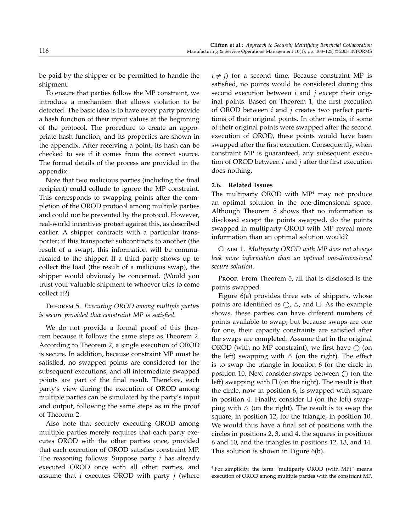be paid by the shipper or be permitted to handle the shipment.

To ensure that parties follow the MP constraint, we introduce a mechanism that allows violation to be detected. The basic idea is to have every party provide a hash function of their input values at the beginning of the protocol. The procedure to create an appropriate hash function, and its properties are shown in the appendix. After receiving a point, its hash can be checked to see if it comes from the correct source. The formal details of the process are provided in the appendix.

Note that two malicious parties (including the final recipient) could collude to ignore the MP constraint. This corresponds to swapping points after the completion of the OROD protocol among multiple parties and could not be prevented by the protocol. However, real-world incentives protect against this, as described earlier. A shipper contracts with a particular transporter; if this transporter subcontracts to another (the result of a swap), this information will be communicated to the shipper. If a third party shows up to collect the load (the result of a malicious swap), the shipper would obviously be concerned. (Would you trust your valuable shipment to whoever tries to come collect it?)

# Theorem 5. Executing OROD among multiple parties is secure provided that constraint MP is satisfied.

We do not provide a formal proof of this theorem because it follows the same steps as Theorem 2. According to Theorem 2, a single execution of OROD is secure. In addition, because constraint MP must be satisfied, no swapped points are considered for the subsequent executions, and all intermediate swapped points are part of the final result. Therefore, each party's view during the execution of OROD among multiple parties can be simulated by the party's input and output, following the same steps as in the proof of Theorem 2.

Also note that securely executing OROD among multiple parties merely requires that each party executes OROD with the other parties once, provided that each execution of OROD satisfies constraint MP. The reasoning follows: Suppose party  $i$  has already executed OROD once with all other parties, and assume that  $i$  executes OROD with party  $j$  (where

 $i \neq j$ ) for a second time. Because constraint MP is satisfied, no points would be considered during this second execution between  $i$  and  $j$  except their original points. Based on Theorem 1, the first execution of OROD between  $i$  and  $j$  creates two perfect partitions of their original points. In other words, if some of their original points were swapped after the second execution of OROD, these points would have been swapped after the first execution. Consequently, when constraint MP is guaranteed, any subsequent execution of OROD between  $i$  and  $j$  after the first execution does nothing.

#### 2.6. Related Issues

The multiparty OROD with  $MP<sup>4</sup>$  may not produce an optimal solution in the one-dimensional space. Although Theorem 5 shows that no information is disclosed except the points swapped, do the points swapped in multiparty OROD with MP reveal more information than an optimal solution would?

Claim 1. MultipartyOROD with MP does not always leak more information than an optimal one-dimensional secure solution.

PROOF. From Theorem 5, all that is disclosed is the points swapped.

Figure 6(a) provides three sets of shippers, whose points are identified as  $\bigcirc$ ,  $\triangle$ , and  $\Box$ . As the example shows, these parties can have different numbers of points available to swap, but because swaps are one for one, their capacity constraints are satisfied after the swaps are completed. Assume that in the original OROD (with no MP constraint), we first have  $\bigcap$  (on the left) swapping with  $\Delta$  (on the right). The effect is to swap the triangle in location 6 for the circle in position 10. Next consider swaps between  $\bigcirc$  (on the left) swapping with  $\Box$  (on the right). The result is that the circle, now in position 6, is swapped with square in position 4. Finally, consider  $\Box$  (on the left) swapping with  $\Delta$  (on the right). The result is to swap the square, in position 12, for the triangle, in position 10. We would thus have a final set of positions with the circles in positions 2, 3, and 4, the squares in positions 6 and 10, and the triangles in positions 12, 13, and 14. This solution is shown in Figure 6(b).

<sup>4</sup> For simplicity, the term "multiparty OROD (with MP)" means execution of OROD among multiple parties with the constraint MP.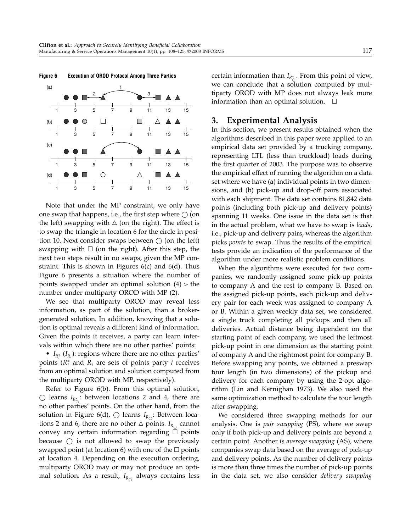

Figure 6 Execution of OROD Protocol Among Three Parties

Note that under the MP constraint, we only have one swap that happens, i.e., the first step where  $\bigcirc$  (on the left) swapping with  $\Delta$  (on the right). The effect is to swap the triangle in location 6 for the circle in position 10. Next consider swaps between  $\bigcirc$  (on the left) swapping with  $\Box$  (on the right). After this step, the next two steps result in no swaps, given the MP constraint. This is shown in Figures 6(c) and 6(d). Thus Figure 6 presents a situation where the number of points swapped under an optimal solution  $(4)$  > the number under multiparty OROD with MP (2).

We see that multiparty OROD may reveal less information, as part of the solution, than a brokergenerated solution. In addition, knowing that a solution is optimal reveals a different kind of information. Given the points it receives, a party can learn intervals within which there are no other parties' points:

•  $I_{R_i^*}$  ( $I_{R_i}$ ): regions where there are no other parties' points  $(R_i^*$  and  $R_i$  are sets of points party *i* receives from an optimal solution and solution computed from the multiparty OROD with MP, respectively).

Refer to Figure 6(b). From this optimal solution,  $\bigcirc$  learns  $I_{R_{\circ}^*}$ : between locations 2 and 4, there are no other parties' points. On the other hand, from the solution in Figure 6(d),  $\bigcirc$  learns  $I_{R_{\bigcirc}}$ : Between locations 2 and 6, there are no other  $\triangle$  points.  $I_{R_{\bigcirc}}$  cannot convey any certain information regarding  $\Box$  points because  $\bigcirc$  is not allowed to swap the previously swapped point (at location 6) with one of the  $\Box$  points at location 4. Depending on the execution ordering, multiparty OROD may or may not produce an optimal solution. As a result,  $I_{R_{\odot}}$  always contains less

certain information than  $I_{R^*_{\circlearrowleft}}$ . From this point of view, we can conclude that a solution computed by multiparty OROD with MP does not always leak more information than an optimal solution.  $\Box$ 

# 3. Experimental Analysis

In this section, we present results obtained when the algorithms described in this paper were applied to an empirical data set provided by a trucking company, representing LTL (less than truckload) loads during the first quarter of 2003. The purpose was to observe the empirical effect of running the algorithm on a data set where we have (a) individual points in two dimensions, and (b) pick-up and drop-off pairs associated with each shipment. The data set contains 81,842 data points (including both pick-up and delivery points) spanning 11 weeks. One issue in the data set is that in the actual problem, what we have to swap is *loads*, i.e., pick-up and delivery pairs, whereas the algorithm picks points to swap. Thus the results of the empirical tests provide an indication of the performance of the algorithm under more realistic problem conditions.

When the algorithms were executed for two companies, we randomly assigned some pick-up points to company A and the rest to company B. Based on the assigned pick-up points, each pick-up and delivery pair for each week was assigned to company A or B. Within a given weekly data set, we considered a single truck completing all pickups and then all deliveries. Actual distance being dependent on the starting point of each company, we used the leftmost pick-up point in one dimension as the starting point of company A and the rightmost point for company B. Before swapping any points, we obtained a preswap tour length (in two dimensions) of the pickup and delivery for each company by using the 2-opt algorithm (Lin and Kernighan 1973). We also used the same optimization method to calculate the tour length after swapping.

We considered three swapping methods for our analysis. One is pair swapping (PS), where we swap only if both pick-up and delivery points are beyond a certain point. Another is average swapping (AS), where companies swap data based on the average of pick-up and delivery points. As the number of delivery points is more than three times the number of pick-up points in the data set, we also consider delivery swapping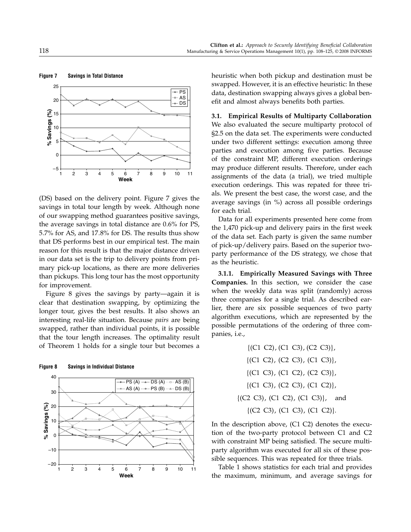

#### Figure 7 Savings in Total Distance

(DS) based on the delivery point. Figure 7 gives the savings in total tour length by week. Although none of our swapping method guarantees positive savings, the average savings in total distance are 0.6% for PS, 57% for AS, and 178% for DS. The results thus show that DS performs best in our empirical test. The main reason for this result is that the major distance driven in our data set is the trip to delivery points from primary pick-up locations, as there are more deliveries than pickups. This long tour has the most opportunity for improvement.

Figure 8 gives the savings by party—again it is clear that destination swapping, by optimizing the longer tour, gives the best results. It also shows an interesting real-life situation. Because pairs are being swapped, rather than individual points, it is possible that the tour length increases. The optimality result of Theorem 1 holds for a single tour but becomes a

Figure 8 Savings in Individual Distance

# 40 PS (A) → DS (A) …... AS (B) AS (A) PS (B) DS (B) 30 **% Savings (%)** 20 % Savings (%) 10  $\Omega$  $-10$ –20 1 2 3 4 5 6 7 8 9 10 11 **Week**

heuristic when both pickup and destination must be swapped. However, it is an effective heuristic: In these data, destination swapping always gives a global benefit and almost always benefits both parties.

#### 3.1. Empirical Results of Multiparty Collaboration

We also evaluated the secure multiparty protocol of §2.5 on the data set. The experiments were conducted under two different settings: execution among three parties and execution among five parties. Because of the constraint MP, different execution orderings may produce different results. Therefore, under each assignments of the data (a trial), we tried multiple execution orderings. This was repated for three trials. We present the best case, the worst case, and the average savings (in %) across all possible orderings for each trial.

Data for all experiments presented here come from the 1,470 pick-up and delivery pairs in the first week of the data set. Each party is given the same number of pick-up/delivery pairs. Based on the superior twoparty performance of the DS strategy, we chose that as the heuristic.

3.1.1. Empirically Measured Savings with Three Companies. In this section, we consider the case when the weekly data was split (randomly) across three companies for a single trial. As described earlier, there are six possible sequences of two party algorithm executions, which are represented by the possible permutations of the ordering of three companies, i.e.,

> $\{(C1 C2), (C1 C3), (C2 C3)\},\$  $\{(C1 C2), (C2 C3), (C1 C3)\},\$  $\{(C1 C3), (C1 C2), (C2 C3)\},\$  $\{(C1 C3), (C2 C3), (C1 C2)\},\$  $\{(C2 C3), (C1 C2), (C1 C3)\}\$ , and  ${ (C2 C3), (C1 C3), (C1 C2) }$ .

In the description above, (C1 C2) denotes the execution of the two-party protocol between C1 and C2 with constraint MP being satisfied. The secure multiparty algorithm was executed for all six of these possible sequences. This was repeated for three trials.

Table 1 shows statistics for each trial and provides the maximum, minimum, and average savings for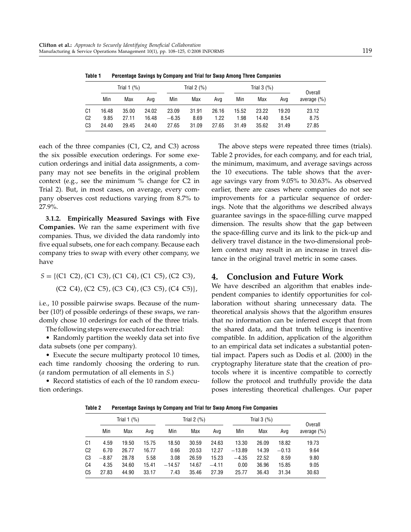|                |       | Trial 1 $(%)$ |       |         | Trial $2(%)$ |       | Trial $3(%)$ | Overall |       |                |
|----------------|-------|---------------|-------|---------|--------------|-------|--------------|---------|-------|----------------|
|                | Min   | Max           | Ava   | Min     | Max          | Ava   | Min          | Max     | Ava   | average $(\%)$ |
| C1             | 16.48 | 35.00         | 24.02 | 23.09   | 31.91        | 26.16 | 15.52        | 23.22   | 19.20 | 23.12          |
| C <sub>2</sub> | 9.85  | 27.11         | 16.48 | $-6.35$ | 8.69         | 1.22  | 1.98         | 14.40   | 8.54  | 8.75           |
| C3             | 24.40 | 29.45         | 24.40 | 27.65   | 31.09        | 27.65 | 31.49        | 35.62   | 31.49 | 27.85          |

Table 1 Percentage Savings by Company and Trial for Swap Among Three Companies

each of the three companies (C1, C2, and C3) across the six possible execution orderings. For some execution orderings and initial data assignments, a company may not see benefits in the original problem context (e.g., see the minimum % change for C2 in Trial 2). But, in most cases, on average, every company observes cost reductions varying from 8.7% to 27.9%.

3.1.2. Empirically Measured Savings with Five Companies. We ran the same experiment with five companies. Thus, we divided the data randomly into five equal subsets, one for each company. Because each company tries to swap with every other company, we have

 $S = \{ (C1 C2), (C1 C3), (C1 C4), (C1 C5), (C2 C3),$  $(C2 C4)$ ,  $(C2 C5)$ ,  $(C3 C4)$ ,  $(C3 C5)$ ,  $(C4 C5)$ ,

i.e., 10 possible pairwise swaps. Because of the number (10!) of possible orderings of these swaps, we randomly chose 10 orderings for each of the three trials.

The following steps were executed for each trial:

• Randomly partition the weekly data set into five data subsets (one per company).

• Execute the secure multiparty protocol 10 times, each time randomly choosing the ordering to run. (a random permutation of all elements in S.)

• Record statistics of each of the 10 random execution orderings.

The above steps were repeated three times (trials). Table 2 provides, for each company, and for each trial, the minimum, maximum, and average savings across the 10 executions. The table shows that the average savings vary from 9.05% to 30.63%. As observed earlier, there are cases where companies do not see improvements for a particular sequence of orderings. Note that the algorithms we described always guarantee savings in the space-filling curve mapped dimension. The results show that the gap between the space-filling curve and its link to the pick-up and delivery travel distance in the two-dimensional problem context may result in an increase in travel distance in the original travel metric in some cases.

# 4. Conclusion and Future Work

We have described an algorithm that enables independent companies to identify opportunities for collaboration without sharing unnecessary data. The theoretical analysis shows that the algorithm ensures that no information can be inferred except that from the shared data, and that truth telling is incentive compatible. In addition, application of the algorithm to an empirical data set indicates a substantial potential impact. Papers such as Dodis et al. (2000) in the cryptography literature state that the creation of protocols where it is incentive compatible to correctly follow the protocol and truthfully provide the data poses interesting theoretical challenges. Our paper

Table 2 Percentage Savings by Company and Trial for Swap Among Five Companies

|                |         | Trial $1$ $\left(\frac{9}{6}\right)$ |       |          | Trial $2 \,$ $\frac{9}{6}$ |         | Trial $3(%)$ | Overall |         |                 |
|----------------|---------|--------------------------------------|-------|----------|----------------------------|---------|--------------|---------|---------|-----------------|
|                | Min     | Max                                  | Avg   | Min      | Max                        | Avg     | Min          | Max     | Avg     | average $(\% )$ |
| C1             | 4.59    | 19.50                                | 15.75 | 18.50    | 30.59                      | 24.63   | 13.30        | 26.09   | 18.82   | 19.73           |
| C <sub>2</sub> | 6.70    | 26.77                                | 16.77 | 0.66     | 20.53                      | 12.27   | $-13.89$     | 14.39   | $-0.13$ | 9.64            |
| C <sub>3</sub> | $-8.87$ | 28.78                                | 5.58  | 3.08     | 26.59                      | 15.23   | $-4.35$      | 22.52   | 8.59    | 9.80            |
| C4             | 4.35    | 34.60                                | 15.41 | $-14.57$ | 14.67                      | $-4.11$ | 0.00         | 36.96   | 15.85   | 9.05            |
| C <sub>5</sub> | 27.83   | 44.90                                | 33.17 | 7.43     | 35.46                      | 27.39   | 25.77        | 36.43   | 31.34   | 30.63           |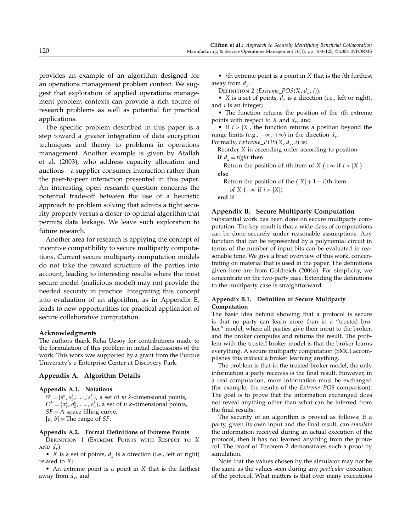provides an example of an algorithm designed for an operations management problem context. We suggest that exploration of applied operations management problem contexts can provide a rich source of research problems as well as potential for practical applications.

The specific problem described in this paper is a step toward a greater integration of data encryption techniques and theory to problems in operations management. Another example is given by Atallah et al. (2003), who address capacity allocation and auctions—a supplier-consumer interaction rather than the peer-to-peer interaction presented in this paper. An interesting open research question concerns the potential trade-off between the use of a heuristic approach to problem solving that admits a tight security property versus a closer-to-optimal algorithm that permits data leakage. We leave such exploration to future research.

Another area for research is applying the concept of incentive compatibility to secure multiparty computations. Current secure multiparty computation models do not take the reward structure of the parties into account, leading to interesting results where the most secure model (malicious model) may not provide the needed security in practice. Integrating this concept into evaluation of an algorithm, as in Appendix E, leads to new opportunities for practical application of secure collaborative computation.

#### Acknowledgments

The authors thank Reha Uzsoy for contributions made to the formulation of this problem in initial discussions of the work. This work was supported by a grant from the Purdue University's e-Enterprise Center at Discovery Park.

## Appendix A. Algorithm Details

## Appendix A.1. Notations

 $S^k = \{s_1^k, s_2^k, \dots, s_m^k\}$ , a set of *m k*-dimensional points,  $O^k = \{o_1^k, o_2^k, \ldots, o_n^k\}$ , a set of *n k*-dimensional points,  $SF \equiv A$  space filling curve,  $[a, b] \equiv$  The range of *SF*.

#### Appendix A.2. Formal Definitions of Extreme Points

Definition 1 (Extreme Points with Respect to X AND  $d_{\gamma}$ ).

• *X* is a set of points,  $d_x$  is a direction (i.e., left or right) related to X;

• An extreme point is a point in X that is the farthest away from  $d_x$ , and

 $\bullet$  *i*th extreme point is a point in  $X$  that is the *i*th furthest away from  $d_{\gamma}$ .

DEFINITION 2 (*Extreme\_POS(X, d<sub>x</sub>, i*)).

• X is a set of points,  $d_x$  is a direction (i.e., left or right), and *i* is an integer;

• The function returns the position of the ith extreme points with respect to X and  $d_{x}$ , and

• If  $i > |X|$ , the function returns a position beyond the range limits (e.g.,  $-\infty$ ,  $+\infty$ ) in the direction  $d_x$ .

Formally,  $Extreme\_POS(X, d_x, i)$  is:

Reorder X in ascending order according to position if  $d_x = right$  then

Return the position of *i*th item of *X* ( $+\infty$  if *i* > |*X*|) else

Return the position of the  $(|X| + 1 - i)$ th item of X ( $-\infty$  if  $i > |X|$ )

end if.

#### Appendix B. Secure Multiparty Computation

Substantial work has been done on secure multiparty computation. The key result is that a wide class of computations can be done securely under reasonable assumptions. Any function that can be represented by a polynomial circuit in terms of the number of input bits can be evaluated in reasonable time. We give a brief overview of this work, concentrating on material that is used in the paper. The definitions given here are from Goldreich (2004a). For simplicity, we concentrate on the two-party case. Extending the definitions to the multiparty case is straightforward.

#### Appendix B.1. Definition of Secure Multiparty Computation

The basic idea behind showing that a protocol is secure is that no party can learn more than in a "trusted broker" model, where all parties give their input to the broker, and the broker computes and returns the result. The problem with the trusted broker model is that the broker learns everything. A secure multiparty computation (SMC) accomplishes this without a broker learning anything.

The problem is that in the trusted broker model, the only information a party receives is the final result. However, in a real computation, more information must be exchanged (for example, the results of the Extreme\_POS comparison). The goal is to prove that the information exchanged does not reveal anything other than what can be inferred from the final results.

The security of an algorithm is proved as follows: If a party, given its own input and the final result, can simulate the information received during an actual execution of the protocol, then it has not learned anything from the protocol. The proof of Theorem 2 demonstrates such a proof by simulation.

Note that the values chosen by the simulator may not be the same as the values seen during any *particular* execution of the protocol. What matters is that over many executions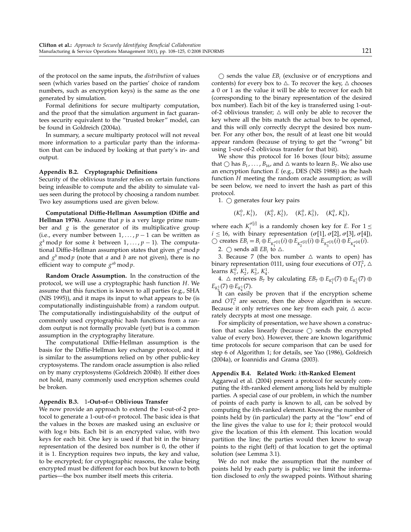of the protocol on the same inputs, the distribution of values seen (which varies based on the parties' choice of random numbers, such as encryption keys) is the same as the one generated by simulation.

Formal definitions for secure multiparty computation, and the proof that the simulation argument in fact guarantees security equivalent to the "trusted broker" model, can be found in Goldreich (2004a).

In summary, a secure multiparty protocol will not reveal more information to a particular party than the information that can be induced by looking at that party's in- and output.

#### Appendix B.2. Cryptographic Definitions

Security of the oblivious transfer relies on certain functions being infeasible to compute and the ability to simulate values seen during the protocol by choosing a random number. Two key assumptions used are given below.

Computational Diffie-Hellman Assumption (Diffie and Hellman 1976). Assume that  $p$  is a very large prime number and  $g$  is the generator of its multiplicative group (i.e., every number between  $1, \ldots, p - 1$  can be written as  $g<sup>k</sup>$  mod p for some k between 1, ..., p – 1). The computational Diffie-Hellman assumption states that given  $g^a$  mod  $p$ and  $g<sup>b</sup>$  mod  $p$  (note that a and b are not given), there is no efficient way to compute  $g^{ab} \mod p$ .

Random Oracle Assumption. In the construction of the protocol, we will use a cryptographic hash function H. We assume that this function is known to all parties (e.g., SHA (NIS 1995)), and it maps its input to what appears to be (is computationally indistinguishable from) a random output. The computationally indistinguishability of the output of commonly used cryptographic hash functions from a random output is not formally provable (yet) but is a common assumption in the cryptography literature.

The computational Diffie-Hellman assumption is the basis for the Diffie-Hellman key exchange protocol, and it is similar to the assumptions relied on by other public-key cryptosystems. The random oracle assumption is also relied on by many cryptosystems (Goldreich 2004b). If either does not hold, many commonly used encryption schemes could be broken.

#### Appendix B.3. 1-Out-of-n Oblivious Transfer

We now provide an approach to extend the 1-out-of-2 protocol to generate a 1-out-of-n protocol. The basic idea is that the values in the boxes are masked using an exclusive or with  $\log n$  bits. Each bit is an encrypted value, with two keys for each bit. One key is used if that bit in the binary representation of the desired box number is 0, the other if it is 1. Encryption requires two inputs, the key and value, to be encrypted; for cryptographic reasons, the value being encrypted must be different for each box but known to both parties—the box number itself meets this criteria.

 $\bigcirc$  sends the value *EB<sub>i</sub>* (exclusive or of encryptions and contents) for every box to  $\triangle$ . To recover the key,  $\triangle$  chooses a 0 or 1 as the value it will be able to recover for each bit (corresponding to the binary representation of the desired box number). Each bit of the key is transferred using 1-outof-2 oblivious transfer;  $\triangle$  will only be able to recover the key where all the bits match the actual box to be opened, and this will only correctly decrypt the desired box number. For any other box, the result of at least one bit would appear random (because of trying to get the "wrong" bit using 1-out-of-2 oblivious transfer for that bit).

We show this protocol for 16 boxes (four bits); assume that  $\bigcirc$  has  $B_1, \ldots, B_{16}$ , and  $\bigtriangleup$  wants to learn  $B_7$ . We also use an encryption function E (e.g., DES (NIS 1988)) as the hash function H meeting the random oracle assumption; as will be seen below, we need to invert the hash as part of this protocol.

1.  $\bigcirc$  generates four key pairs

$$
(K_1^0, K_1^1), (K_2^0, K_2^1), (K_3^0, K_3^1), (K_4^0, K_4^1),
$$

where each  $K_j^{\sigma[j]}$  is a randomly chosen key for E. For  $1 \leq$  $i \leq 16$ , with binary representation  $(\sigma[1], \sigma[2], \sigma[3], \sigma[4])$ , ◯ creates  $EB_i = B_i \oplus E_{K_1^{\sigma[1]}}(i) \oplus E_{K_2^{\sigma[2]}}(i) \oplus E_{K_3^{\sigma[3]}}(i) \oplus E_{K_4^{\sigma[4]}}(i)$ .

2.  $\bigcirc$  sends all  $EB_i$  to  $\triangle$ .

3. Because 7 (the box number  $\triangle$  wants to open) has binary representation 0111, using four executions of  $OT_1^2$ ,  $\triangle$ learns  $K_1^0$ ,  $K_2^1$ ,  $K_3^1$ ,  $K_4^1$ .

4.  $\triangle$  retrieves  $B_7$  by calculating  $EB_7 \oplus E_{K_1^0}(7) \oplus E_{K_3^1}(7) \oplus$  $E_{K_3^1}(7) \oplus E_{K_4^1}(7)$ .

It can easily be proven that if the encryption scheme and  $OT<sub>1</sub><sup>2</sup>$  are secure, then the above algorithm is secure. Because it only retrieves one key from each pair,  $\Delta$  accurately decrypts at most one message.

For simplicity of presentation, we have shown a construction that scales linearly (because  $\bigcirc$  sends the encrypted value of every box). However, there are known logarithmic time protocols for secure comparison that can be used for step 6 of Algorithm 1; for details, see Yao (1986), Goldreich (2004a), or Ioannidis and Grama (2003).

#### Appendix B.4. Related Work: kth-Ranked Element

Aggarwal et al. (2004) present a protocol for securely computing the kth-ranked element among lists held by multiple parties. A special case of our problem, in which the number of points of each party is known to all, can be solved by computing the kth-ranked element. Knowing the number of points held by (in particular) the party at the "low" end of the line gives the value to use for  $k$ ; their protocol would give the location of this kth element. This location would partition the line; the parties would then know to swap points to the right (left) of that location to get the optimal solution (see Lemma 3.1).

We do not make the assumption that the number of points held by each party is public; we limit the information disclosed to only the swapped points. Without sharing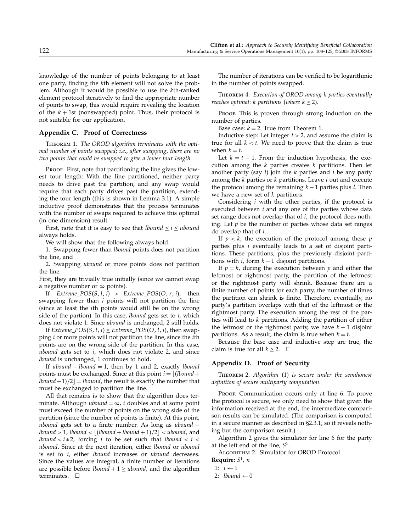knowledge of the number of points belonging to at least one party, finding the kth element will not solve the problem. Although it would be possible to use the kth-ranked element protocol iteratively to find the appropriate number of points to swap, this would require revealing the location of the  $k + 1$ st (nonswapped) point. Thus, their protocol is not suitable for our application.

#### Appendix C. Proof of Correctness

Theorem 1. The OROD algorithm terminates with the optimal number of points swapped; i.e., after swapping, there are no two points that could be swapped to give a lower tour length.

PROOF. First, note that partitioning the line gives the lowest tour length: With the line partitioned, neither party needs to drive past the partition, and any swap would require that each party drives past the partition, extending the tour length (this is shown in Lemma 3.1). A simple inductive proof demonstrates that the process terminates with the number of swaps required to achieve this optimal (in one dimension) result.

First, note that it is easy to see that  $lbound \le i \le \text{ubound}$ always holds.

We will show that the following always hold.

1. Swapping fewer than lbound points does not partition the line, and

2. Swapping ubound or more points does not partition the line.

First, they are trivially true initially (since we cannot swap a negative number or  $\infty$  points).

If  $Extreme_POS(S, l, i) > Extreme_POS(O, r, i)$ , then swapping fewer than  $i$  points will not partition the line (since at least the ith points would still be on the wrong side of the partion). In this case, *lbound* gets set to  $i$ , which does not violate 1. Since ubound is unchanged, 2 still holds.

If  $Extreme\_POS(S, l, i) \leq Extreme\_POS(O, l, i)$ , then swapping  $i$  or more points will not partition the line, since the  $i$ th points are on the wrong side of the partition. In this case, ubound gets set to  $i$ , which does not violate 2, and since lbound is unchanged, 1 continues to hold.

If ubound  $-$  lbound  $=$  1, then by 1 and 2, exactly lbound points must be exchanged. Since at this point  $i = |(Ibound +$  $lbound+1/2$  =  $lbound$ , the result is exactly the number that must be exchanged to partition the line.

All that remains is to show that the algorithm does terminate. Although *ubound* =  $\infty$ , *i* doubles and at some point must exceed the number of points on the wrong side of the partition (since the number of points is finite). At this point, ubound gets set to a finite number. As long as ubound  $$ lbound  $> 1$ , lbound  $< |$  (lbound  $+$  lbound  $+ 1$ )/2  $|$  < ubound, and *lbound* <  $i * 2$ , forcing  $i$  to be set such that *lbound* <  $i$  < ubound. Since at the next iteration, either lbound or ubound is set to i, either lbound increases or ubound decreases. Since the values are integral, a finite number of iterations are possible before *lbound* + 1  $\geq$  *ubound*, and the algorithm terminates.  $\square$ 

The number of iterations can be verified to be logarithmic in the number of points swapped.

Theorem 4. Execution of OROD among k parties eventually reaches optimal: k partitions (where  $k \geq 2$ ).

Proof. This is proven through strong induction on the number of parties.

Base case:  $k = 2$ . True from Theorem 1.

Inductive step: Let integer  $t > 2$ , and assume the claim is true for all  $k < t$ . We need to prove that the claim is true when  $k = t$ .

Let  $k = t - 1$ . From the induction hypothesis, the execution among the  $k$  parties creates  $k$  partitions. Then let another party (say  $l$ ) join the  $k$  parties and  $i$  be any party among the  $k$  parties or  $k$  partitions. Leave  $i$  out and execute the protocol among the remaining  $k - 1$  parties plus l. Then we have a new set of  $k$  partitions.

Considering i with the other parties, if the protocol is executed between  $i$  and any one of the parties whose data set range does not overlap that of  $i$ , the protocol does nothing. Let  $p$  be the number of parties whose data set ranges do overlap that of i.

If  $p < k$ , the execution of the protocol among these p parties plus i eventually leads to a set of disjoint partitions. These partitions, plus the previously disjoint partitions with  $i$ , form  $k+1$  disjoint partitions.

If  $p = k$ , during the execution between p and either the leftmost or rightmost party, the partition of the leftmost or the rightmost party will shrink. Because there are a finite number of points for each party, the number of times the partition can shrink is finite. Therefore, eventually, no party's partition overlaps with that of the leftmost or the rightmost party. The execution among the rest of the parties will lead to k partitions. Adding the partition of either the leftmost or the rightmost party, we have  $k + 1$  disjoint partitions. As a result, the claim is true when  $k = t$ .

Because the base case and inductive step are true, the claim is true for all  $k \geq 2$ .  $\Box$ 

#### Appendix D. Proof of Security

THEOREM 2. Algorithm (1) is secure under the semihonest definition of secure multiparty computation.

Proof. Communication occurs only at line 6. To prove the protocol is secure, we only need to show that given the information received at the end, the intermediate comparison results can be simulated. (The comparison is computed in a secure manner as described in §2.3.1, so it reveals nothing but the comparison result.)

Algorithm 2 gives the simulator for line 6 for the party at the left end of the line,  $S^1$ .

Algorithm 2. Simulator for OROD Protocol

Require:  $S^1$ , n

- 1:  $i \leftarrow 1$
- 2: *lbound*  $\leftarrow 0$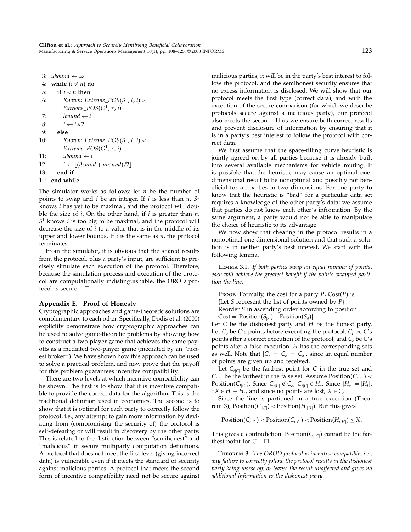```
3: ubound \leftarrow \infty4: while (i \neq n) do<br>5: if i < n then
         if i < n then
 6: Known: Extreme_POS(S^1, l, i) >
             Extreme_POS(O<sup>1</sup>, r, i)7: lbound \leftarrow i8: i \leftarrow i * 2<br>9: else
          else
10: Known: Extreme_POS(S^1, l, i) <
             Extreme_POS(O<sup>1</sup>, r, i)11: ubound \leftarrow i<br>12: i \leftarrow |(lboun \cup i)
```

```
12: i \leftarrow \lfloor (lbound + ubound)/2 \rfloor<br>13: end if
```

```
end if
```

```
14: end while
```
The simulator works as follows: let  $n$  be the number of points to swap and i be an integer. If i is less than  $n$ ,  $S<sup>1</sup>$ knows i has yet to be maximal, and the protocol will double the size of  $i$ . On the other hand, if  $i$  is greater than  $n$ ,  $S<sup>1</sup>$  knows *i* is too big to be maximal, and the protocol will decrease the size of  $i$  to a value that is in the middle of its upper and lower bounds. If  $i$  is the same as  $n$ , the protocol terminates.

From the simulator, it is obvious that the shared results from the protocol, plus a party's input, are sufficient to precisely simulate each execution of the protocol. Therefore, because the simulation process and execution of the protocol are computationally indistinguishable, the OROD protocol is secure.  $\square$ 

## Appendix E. Proof of Honesty

Cryptographic approaches and game-theoretic solutions are complementary to each other. Specifically, Dodis et al. (2000) explicitly demonstrate how cryptographic approaches can be used to solve game-theoretic problems by showing how to construct a two-player game that achieves the same payoffs as a mediated two-player game (mediated by an "honest broker"). We have shown how this approach can be used to solve a practical problem, and now prove that the payoff for this problem guarantees incentive compatibility.

There are two levels at which incentive compatibility can be shown. The first is to show that it is incentive compatible to provide the correct data for the algorithm. This is the traditional definition used in economics. The second is to show that it is optimal for each party to correctly follow the protocol; i.e., any attempt to gain more information by deviating from (compromising the security of) the protocol is self-defeating or will result in discovery by the other party. This is related to the distinction between "semihonest" and "malicious" in secure multiparty computation definitions. A protocol that does not meet the first level (giving incorrect data) is vulnerable even if it meets the standard of security against malicious parties. A protocol that meets the second form of incentive compatibility need not be secure against

malicious parties; it will be in the party's best interest to follow the protocol, and the semihonest security ensures that no excess information is disclosed. We will show that our protocol meets the first type (correct data), and with the exception of the secure comparison (for which we describe protocols secure against a malicious party), our protocol also meets the second. Thus we ensure both correct results and prevent disclosure of information by ensuring that it is in a party's best interest to follow the protocol with correct data.

We first assume that the space-filling curve heuristic is jointly agreed on by all parties because it is already built into several available mechanisms for vehicle routing. It is possible that the heuristic may cause an optimal onedimensional result to be nonoptimal and possibly not beneficial for all parties in two dimensions. For one party to know that the heuristic is "bad" for a particular data set requires a knowledge of the other party's data; we assume that parties do not know each other's information. By the same argument, a party would not be able to manipulate the choice of heuristic to its advantage.

We now show that cheating in the protocol results in a nonoptimal one-dimensional solution and that such a solution is in neither party's best interest. We start with the following lemma.

Lemma 3.1. If both parties swap an equal number of points, each will achieve the greatest benefit if the points swapped partition the line.

PROOF. Formally, the cost for a party  $P$ ,  $Cost(P)$  is

{Let S represent the list of points owned by  $P$ }.

Reorder S in ascending order according to position  $Cost = |Position(S_{|S|}) - Position(S_d)|.$ 

Let  $C$  be the dishonest party and  $H$  be the honest party. Let  $C_0$  be C's points before executing the protocol,  $C_t$  be C's points after a correct execution of the protocol, and  $C_c$  be  $C$ 's points after a false execution. H has the corresponding sets as well. Note that  $|C_t| = |C_c| = |C_o|$ , since an equal number of points are given up and received.

Let  $C_{t|C|}$  be the farthest point for C in the true set and  $C_{c|C|}$  be the farthest in the false set. Assume Position( $C_{c|C|}$ ) < Position( $C_{t|C}$ ). Since  $C_{t|C|} \notin C_c$ ,  $C_{t|C|} \in H_c$ . Since  $|H_c| = |H_t|$ ,  $\exists X \in H_t - H_c$ , and since no points are lost,  $X \in C_c$ .

Since the line is partioned in a true execution (Theorem 3), Position( $C_{t|C|}$ ) < Position( $H_{t|H|}$ ). But this gives

 $Position(C_{c|C|})$  <  $Position(C_{t|C|})$  <  $Position(H_{t|H|}) \leq X$ .

This gives a contradiction: Position( $C_{c|C|}$ ) cannot be the farthest point for  $C$ .  $\square$ 

Theorem 3. The OROD protocol is incentive compatible; i.e., any failure to correctly follow the protocol results in the dishonest party being worse off, or leaves the result unaffected and gives no additional information to the dishonest party.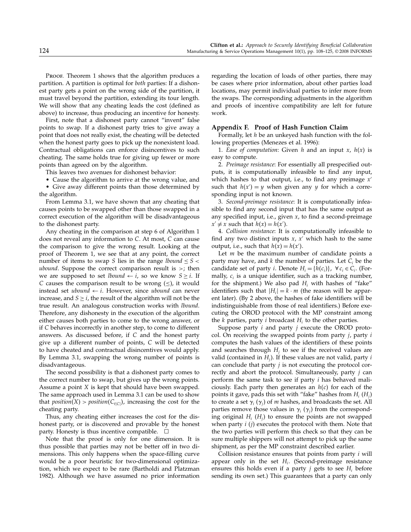Proof. Theorem 1 shows that the algorithm produces a partition. A partition is optimal for both parties: If a dishonest party gets a point on the wrong side of the partition, it must travel beyond the partition, extending its tour length. We will show that any cheating leads the cost (defined as above) to increase, thus producing an incentive for honesty.

First, note that a dishonest party cannot "invent" false points to swap. If a dishonest party tries to give away a point that does not really exist, the cheating will be detected when the honest party goes to pick up the nonexistent load. Contractual obligations can enforce disincentives to such cheating. The same holds true for giving up fewer or more points than agreed on by the algorithm.

This leaves two avenues for dishonest behavior:

• Cause the algorithm to arrive at the wrong value, and • Give away different points than those determined by

the algorithm. From Lemma 3.1, we have shown that any cheating that causes points to be swapped other than those swapped in a correct execution of the algorithm will be disadvantageous to the dishonest party.

Any cheating in the comparison at step 6 of Algorithm 1 does not reveal any information to C. At most, C can cause the comparison to give the wrong result. Looking at the proof of Theorem 1, we see that at any point, the correct number of items to swap S lies in the range *lbound*  $\leq$  S  $<$ ubound. Suppose the correct comparison result is  $\gt$ ; then we are supposed to set *lbound*  $\leftarrow i$ , so we know  $S \geq i$ . If C causes the comparison result to be wrong  $(\le)$ , it would instead set ubound  $\leftarrow i$ . However, since ubound can never increase, and  $S \ge i$ , the result of the algorithm will not be the true result. An analogous construction works with lbound. Therefore, any dishonesty in the execution of the algorithm either causes both parties to come to the wrong answer, or if C behaves incorrectly in another step, to come to different answers. As discussed before, if C and the honest party give up a different number of points, C will be detected to have cheated and contractual disincentives would apply. By Lemma 3.1, swapping the wrong number of points is disadvantageous.

The second possibility is that a dishonest party comes to the correct number to swap, but gives up the wrong points. Assume a point X is kept that should have been swapped. The same approach used in Lemma 3.1 can be used to show that *position*(*X*) > *position*( $C_{t|C}$ ), increasing the cost for the cheating party.

Thus, any cheating either increases the cost for the dishonest party, or is discovered and provable by the honest party. Honesty is thus incentive compatible.  $\Box$ 

Note that the proof is only for one dimension. It is thus possible that parties may not be better off in two dimensions. This only happens when the space-filling curve would be a poor heuristic for two-dimensional optimization, which we expect to be rare (Bartholdi and Platzman 1982). Although we have assumed no prior information

regarding the location of loads of other parties, there may be cases where prior information, about other parties load locations, may permit individual parties to infer more from the swaps. The corresponding adjustments in the algorithm and proofs of incentive compatibility are left for future work.

#### Appendix F. Proof of Hash Function Claim

Formally, let  $h$  be an unkeyed hash function with the following properties (Menezes et al. 1996):

1. Ease of computation: Given h and an input x,  $h(x)$  is easy to compute.

2. Preimage resistance: For essentially all prespecified outputs, it is computationally infeasible to find any input, which hashes to that output, i.e., to find any preimage  $x'$ such that  $h(x') = y$  when given any y for which a corresponding input is not known.

3. Second-preimage resistance: It is computationally infeasible to find any second input that has the same output as any specified input, i.e., given  $x$ , to find a second-preimage  $x' \neq x$  such that  $h(x) = h(x')$ .

4. Collision resistance: It is computationally infeasible to find any two distinct inputs  $x$ ,  $x'$  which hash to the same output, i.e., such that  $h(x) = h(x')$ .

Let  $m$  be the maximum number of candidate points a party may have, and  $k$  the number of parties. Let  $C_i$  be the candidate set of party *i*. Denote  $H_i = \{h(c_i)\}\$ ,  $\forall c_i \in C_i$ . (Formally,  $c_i$  is a unique identifier, such as a tracking number, for the shipment.) We also pad  $H_i$  with hashes of "fake" identifiers such that  $|H_i| = k \cdot m$  (the reason will be apparent later). (By 2 above, the hashes of fake identifiers will be indistinguishable from those of real identifiers.) Before executing the OROD protocol with the MP constraint among the  $k$  parties, party  $i$  broadcast  $H_i$  to the other parties.

Suppose party  $i$  and party  $j$  execute the OROD protocol. On receiving the swapped points from party  $j$ , party  $i$ computes the hash values of the identifiers of these points and searches through  $H_i$  to see if the received values are valid (contained in  $H_i$ ). If these values are not valid, party i can conclude that party  $j$  is not executing the protocol correctly and abort the protocol. Simultaneously, party  $j$  can perform the same task to see if party  $i$  has behaved maliciously. Each party then generates an  $h(c)$  for each of the points it gave, pads this set with "fake" hashes from  $H_i$  ( $H_i$ ) to create a set  $\gamma_i$  ( $\gamma_i$ ) of *m* hashes, and broadcasts the set. All parties remove those values in  $\gamma_i$  ( $\gamma_i$ ) from the corresponding original  $H_i$  ( $H_j$ ) to ensure the points are not swapped when party  $i$  (j) executes the protocol with them. Note that the two parties will perform this check so that they can be sure multiple shippers will not attempt to pick up the same shipment, as per the MP constraint described earlier.

Collision resistance ensures that points from party  $i$  will appear only in the set  $H_i$ . (Second-preimage resistance ensures this holds even if a party  $j$  gets to see  $H_i$  before sending its own set.) This guarantees that a party can only